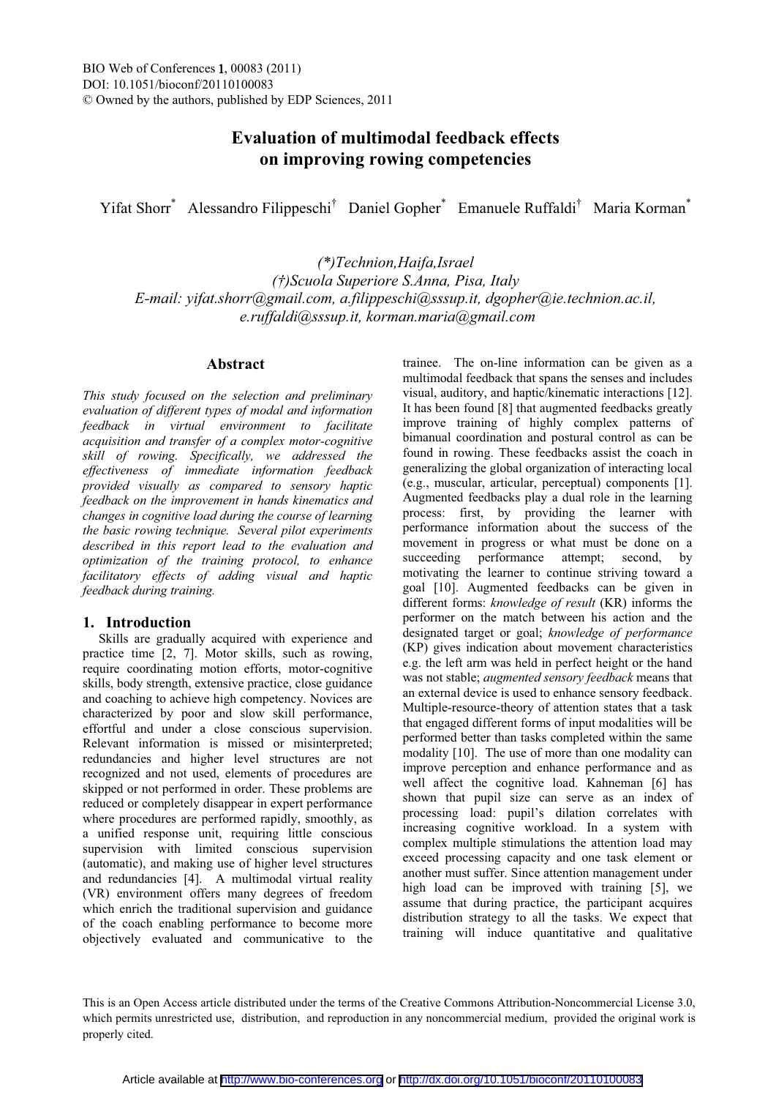# **Evaluation of multimodal feedback effects on improving rowing competencies**

Yifat Shorr\* Alessandro Filippeschi<sup>†</sup> Daniel Gopher<sup>\*</sup> Emanuele Ruffaldi<sup>†</sup> Maria Korman<sup>\*</sup>

*(\*)Technion,Haifa,Israel Scuola Superiore S.Anna, Pisa, Italy E-mail: yifat.shorr@gmail.com, a.filippeschi@sssup.it, dgopher@ie.technion.ac.il, e.ruffaldi@sssup.it, korman.maria@gmail.com*

## **Abstract**

*This study focused on the selection and preliminary evaluation of different types of modal and information feedback in virtual environment to facilitate acquisition and transfer of a complex motor-cognitive skill of rowing. Specifically, we addressed the effectiveness of immediate information feedback provided visually as compared to sensory haptic feedback on the improvement in hands kinematics and changes in cognitive load during the course of learning the basic rowing technique. Several pilot experiments described in this report lead to the evaluation and optimization of the training protocol, to enhance facilitatory effects of adding visual and haptic feedback during training.* 

# **1. Introduction**

Skills are gradually acquired with experience and practice time [2, 7]. Motor skills, such as rowing, require coordinating motion efforts, motor-cognitive skills, body strength, extensive practice, close guidance and coaching to achieve high competency. Novices are characterized by poor and slow skill performance, effortful and under a close conscious supervision. Relevant information is missed or misinterpreted; redundancies and higher level structures are not recognized and not used, elements of procedures are skipped or not performed in order. These problems are reduced or completely disappear in expert performance where procedures are performed rapidly, smoothly, as a unified response unit, requiring little conscious supervision with limited conscious supervision (automatic), and making use of higher level structures and redundancies [4]. A multimodal virtual reality (VR) environment offers many degrees of freedom which enrich the traditional supervision and guidance of the coach enabling performance to become more objectively evaluated and communicative to the

trainee. The on-line information can be given as a multimodal feedback that spans the senses and includes visual, auditory, and haptic/kinematic interactions [12]. It has been found [8] that augmented feedbacks greatly improve training of highly complex patterns of bimanual coordination and postural control as can be found in rowing. These feedbacks assist the coach in generalizing the global organization of interacting local (e.g., muscular, articular, perceptual) components [1]. Augmented feedbacks play a dual role in the learning process: first, by providing the learner with performance information about the success of the movement in progress or what must be done on a succeeding performance attempt; second, by motivating the learner to continue striving toward a goal [10]. Augmented feedbacks can be given in different forms: *knowledge of result* (KR) informs the performer on the match between his action and the designated target or goal; *knowledge of performance* (KP) gives indication about movement characteristics e.g. the left arm was held in perfect height or the hand was not stable; *augmented sensory feedback* means that an external device is used to enhance sensory feedback. Multiple-resource-theory of attention states that a task that engaged different forms of input modalities will be performed better than tasks completed within the same modality [10]. The use of more than one modality can improve perception and enhance performance and as well affect the cognitive load. Kahneman [6] has shown that pupil size can serve as an index of processing load: pupil's dilation correlates with increasing cognitive workload. In a system with complex multiple stimulations the attention load may exceed processing capacity and one task element or another must suffer. Since attention management under high load can be improved with training [5], we assume that during practice, the participant acquires distribution strategy to all the tasks. We expect that training will induce quantitative and qualitative

This is an Open Access article distributed under the terms of the Creative Commons Attribution-Noncommercial License 3.0, which permits unrestricted use, distribution, and reproduction in any noncommercial medium, provided the original work is properly cited.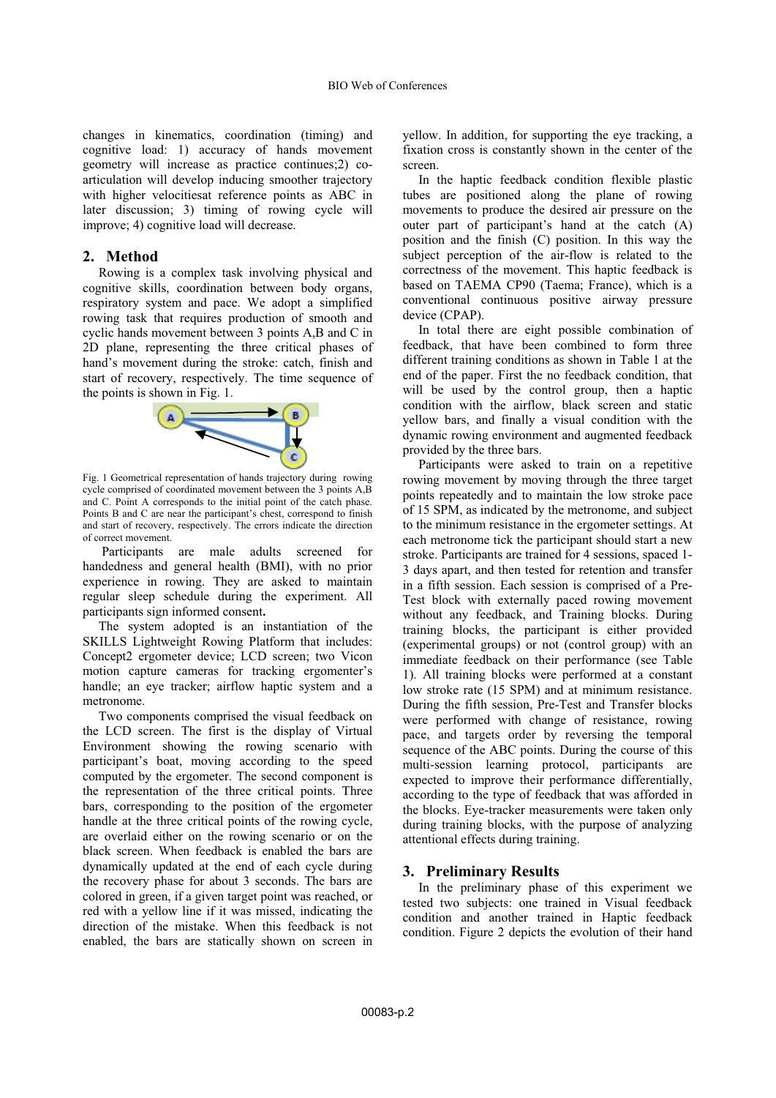changes in kinematics, coordination (timing) and cognitive load: 1) accuracy of hands movement geometry will increase as practice continues;2) coarticulation will develop inducing smoother trajectory with higher velocitiesat reference points as ABC in later discussion; 3) timing of rowing cycle will improve; 4) cognitive load will decrease.

#### **2. Method**

Rowing is a complex task involving physical and cognitive skills, coordination between body organs, respiratory system and pace. We adopt a simplified rowing task that requires production of smooth and cyclic hands movement between 3 points A,B and C in 2D plane, representing the three critical phases of hand's movement during the stroke: catch, finish and start of recovery, respectively. The time sequence of the points is shown in Fig. 1.



Fig. 1 Geometrical representation of hands trajectory during rowing cycle comprised of coordinated movement between the 3 points A,B and C. Point A corresponds to the initial point of the catch phase. Points B and C are near the participant's chest, correspond to finish and start of recovery, respectively. The errors indicate the direction of correct movement.

 Participants are male adults screened for handedness and general health (BMI), with no prior experience in rowing. They are asked to maintain regular sleep schedule during the experiment. All participants sign informed consent**.**

The system adopted is an instantiation of the SKILLS Lightweight Rowing Platform that includes: Concept2 ergometer device; LCD screen; two Vicon motion capture cameras for tracking ergomenter's handle; an eye tracker; airflow haptic system and a metronome.

Two components comprised the visual feedback on the LCD screen. The first is the display of Virtual Environment showing the rowing scenario with participant's boat, moving according to the speed computed by the ergometer. The second component is the representation of the three critical points. Three bars, corresponding to the position of the ergometer handle at the three critical points of the rowing cycle, are overlaid either on the rowing scenario or on the black screen. When feedback is enabled the bars are dynamically updated at the end of each cycle during the recovery phase for about 3 seconds. The bars are colored in green, if a given target point was reached, or red with a yellow line if it was missed, indicating the direction of the mistake. When this feedback is not enabled, the bars are statically shown on screen in

yellow. In addition, for supporting the eye tracking, a fixation cross is constantly shown in the center of the screen.

In the haptic feedback condition flexible plastic tubes are positioned along the plane of rowing movements to produce the desired air pressure on the outer part of participant's hand at the catch  $(A)$ position and the finish (C) position. In this way the subject perception of the air-flow is related to the correctness of the movement. This haptic feedback is based on TAEMA CP90 (Taema; France), which is a conventional continuous positive airway pressure device (CPAP).

In total there are eight possible combination of feedback, that have been combined to form three different training conditions as shown in Table 1 at the end of the paper. First the no feedback condition, that will be used by the control group, then a haptic condition with the airflow, black screen and static yellow bars, and finally a visual condition with the dynamic rowing environment and augmented feedback provided by the three bars.

Participants were asked to train on a repetitive rowing movement by moving through the three target points repeatedly and to maintain the low stroke pace of 15 SPM, as indicated by the metronome, and subject to the minimum resistance in the ergometer settings. At each metronome tick the participant should start a new stroke. Participants are trained for 4 sessions, spaced 1- 3 days apart, and then tested for retention and transfer in a fifth session. Each session is comprised of a Pre-Test block with externally paced rowing movement without any feedback, and Training blocks. During training blocks, the participant is either provided (experimental groups) or not (control group) with an immediate feedback on their performance (see Table 1). All training blocks were performed at a constant low stroke rate (15 SPM) and at minimum resistance. During the fifth session, Pre-Test and Transfer blocks were performed with change of resistance, rowing pace, and targets order by reversing the temporal sequence of the ABC points. During the course of this multi-session learning protocol, participants are expected to improve their performance differentially, according to the type of feedback that was afforded in the blocks. Eye-tracker measurements were taken only during training blocks, with the purpose of analyzing attentional effects during training.

## **3. Preliminary Results**

In the preliminary phase of this experiment we tested two subjects: one trained in Visual feedback condition and another trained in Haptic feedback condition. Figure 2 depicts the evolution of their hand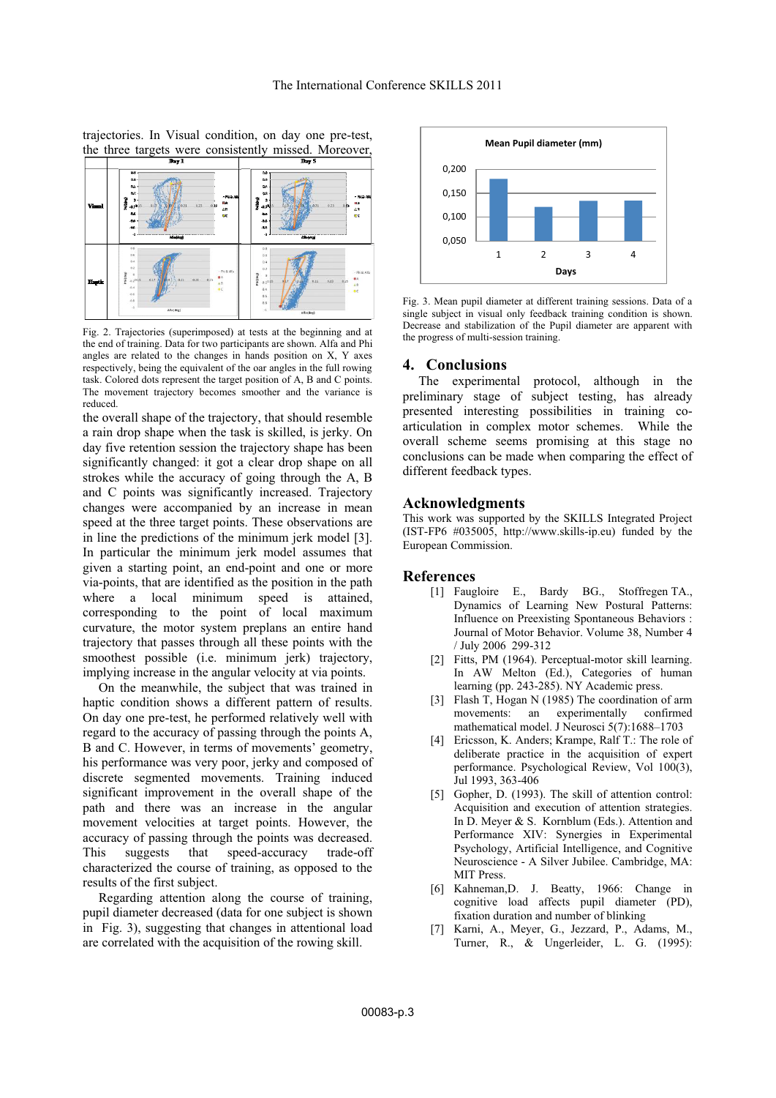trajectories. In Visual condition, on day one pre-test, the three targets were consistently missed. Moreover,



Fig. 2. Trajectories (superimposed) at tests at the beginning and at the end of training. Data for two participants are shown. Alfa and Phi angles are related to the changes in hands position on X, Y axes respectively, being the equivalent of the oar angles in the full rowing task. Colored dots represent the target position of A, B and C points. The movement trajectory becomes smoother and the variance is reduced.

the overall shape of the trajectory, that should resemble a rain drop shape when the task is skilled, is jerky. On day five retention session the trajectory shape has been significantly changed: it got a clear drop shape on all strokes while the accuracy of going through the A, B and C points was significantly increased. Trajectory changes were accompanied by an increase in mean speed at the three target points. These observations are in line the predictions of the minimum jerk model [3]. In particular the minimum jerk model assumes that given a starting point, an end-point and one or more via-points, that are identified as the position in the path where a local minimum speed is attained, corresponding to the point of local maximum curvature, the motor system preplans an entire hand trajectory that passes through all these points with the smoothest possible (i.e. minimum jerk) trajectory, implying increase in the angular velocity at via points.

On the meanwhile, the subject that was trained in haptic condition shows a different pattern of results. On day one pre-test, he performed relatively well with regard to the accuracy of passing through the points A, B and C. However, in terms of movements' geometry, his performance was very poor, jerky and composed of discrete segmented movements. Training induced significant improvement in the overall shape of the path and there was an increase in the angular movement velocities at target points. However, the accuracy of passing through the points was decreased. This suggests that speed-accuracy trade-off characterized the course of training, as opposed to the results of the first subject.

Regarding attention along the course of training, pupil diameter decreased (data for one subject is shown in Fig. 3), suggesting that changes in attentional load are correlated with the acquisition of the rowing skill.



Fig. 3. Mean pupil diameter at different training sessions. Data of a single subject in visual only feedback training condition is shown. Decrease and stabilization of the Pupil diameter are apparent with the progress of multi-session training.

### **4. Conclusions**

The experimental protocol, although in the preliminary stage of subject testing, has already presented interesting possibilities in training coarticulation in complex motor schemes. While the overall scheme seems promising at this stage no conclusions can be made when comparing the effect of different feedback types.

#### **Acknowledgments**

This work was supported by the SKILLS Integrated Project (IST-FP6 #035005, http://www.skills-ip.eu) funded by the European Commission.

#### **References**

- [1] Faugloire E., Bardy BG., Stoffregen TA., Dynamics of Learning New Postural Patterns: Influence on Preexisting Spontaneous Behaviors : Journal of Motor Behavior. Volume 38, Number 4 / July 2006 299-312
- [2] Fitts, PM (1964). Perceptual-motor skill learning. In AW Melton (Ed.), Categories of human learning (pp. 243-285). NY Academic press.
- [3] Flash T, Hogan N (1985) The coordination of arm movements: an experimentally confirmed mathematical model. J Neurosci 5(7):1688-1703
- [4] Ericsson, K. Anders; Krampe, Ralf T.: The role of deliberate practice in the acquisition of expert performance. Psychological Review, Vol 100(3), Jul 1993, 363-406
- [5] Gopher, D. (1993). The skill of attention control: Acquisition and execution of attention strategies. In D. Meyer & S. Kornblum (Eds.). Attention and Performance XIV: Synergies in Experimental Psychology, Artificial Intelligence, and Cognitive Neuroscience - A Silver Jubilee. Cambridge, MA: MIT Press.
- [6] Kahneman,D. J. Beatty, 1966: Change in cognitive load affects pupil diameter (PD), fixation duration and number of blinking
- [7] Karni, A., Meyer, G., Jezzard, P., Adams, M., Turner, R., & Ungerleider, L. G. (1995):